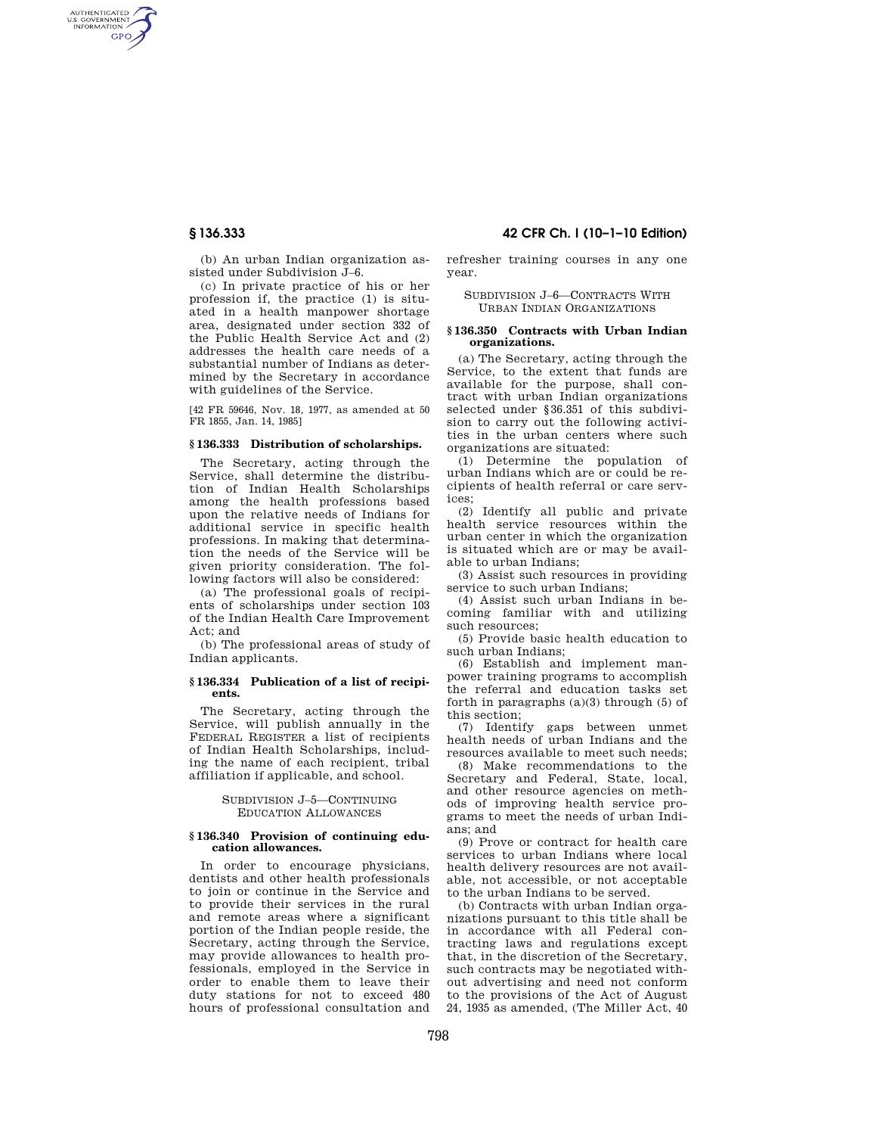AUTHENTICATED<br>U.S. GOVERNMENT<br>INFORMATION **GPO** 

> (b) An urban Indian organization assisted under Subdivision J–6.

> (c) In private practice of his or her profession if, the practice (1) is situated in a health manpower shortage area, designated under section 332 of the Public Health Service Act and (2) addresses the health care needs of a substantial number of Indians as determined by the Secretary in accordance with guidelines of the Service.

> [42 FR 59646, Nov. 18, 1977, as amended at 50 FR 1855, Jan. 14, 1985]

# **§ 136.333 Distribution of scholarships.**

The Secretary, acting through the Service, shall determine the distribution of Indian Health Scholarships among the health professions based upon the relative needs of Indians for additional service in specific health professions. In making that determination the needs of the Service will be given priority consideration. The following factors will also be considered:

(a) The professional goals of recipients of scholarships under section 103 of the Indian Health Care Improvement Act; and

(b) The professional areas of study of Indian applicants.

#### **§ 136.334 Publication of a list of recipients.**

The Secretary, acting through the Service, will publish annually in the FEDERAL REGISTER a list of recipients of Indian Health Scholarships, including the name of each recipient, tribal affiliation if applicable, and school.

> SUBDIVISION J–5—CONTINUING EDUCATION ALLOWANCES

### **§ 136.340 Provision of continuing education allowances.**

In order to encourage physicians, dentists and other health professionals to join or continue in the Service and to provide their services in the rural and remote areas where a significant portion of the Indian people reside, the Secretary, acting through the Service, may provide allowances to health professionals, employed in the Service in order to enable them to leave their duty stations for not to exceed 480 hours of professional consultation and

# **§ 136.333 42 CFR Ch. I (10–1–10 Edition)**

refresher training courses in any one year.

## SUBDIVISION J–6—CONTRACTS WITH URBAN INDIAN ORGANIZATIONS

## **§ 136.350 Contracts with Urban Indian organizations.**

(a) The Secretary, acting through the Service, to the extent that funds are available for the purpose, shall contract with urban Indian organizations selected under §36.351 of this subdivision to carry out the following activities in the urban centers where such organizations are situated:

(1) Determine the population of urban Indians which are or could be recipients of health referral or care services;

(2) Identify all public and private health service resources within the urban center in which the organization is situated which are or may be available to urban Indians;

(3) Assist such resources in providing service to such urban Indians;

(4) Assist such urban Indians in becoming familiar with and utilizing such resources;

(5) Provide basic health education to such urban Indians;

(6) Establish and implement manpower training programs to accomplish the referral and education tasks set forth in paragraphs  $(a)(3)$  through  $(5)$  of this section;

(7) Identify gaps between unmet health needs of urban Indians and the resources available to meet such needs;

(8) Make recommendations to the Secretary and Federal, State, local, and other resource agencies on methods of improving health service programs to meet the needs of urban Indians; and

(9) Prove or contract for health care services to urban Indians where local health delivery resources are not available, not accessible, or not acceptable to the urban Indians to be served.

(b) Contracts with urban Indian organizations pursuant to this title shall be in accordance with all Federal contracting laws and regulations except that, in the discretion of the Secretary, such contracts may be negotiated without advertising and need not conform to the provisions of the Act of August 24, 1935 as amended, (The Miller Act, 40